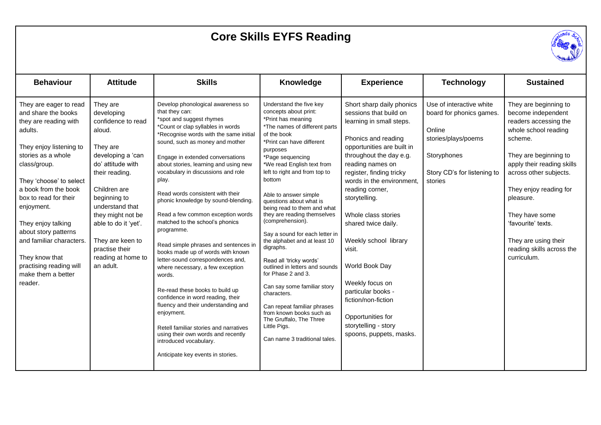## **Core Skills EYFS Reading**



| <b>Behaviour</b>                                                                                                                                                                                                                                                                                                                                                                                     | <b>Attitude</b>                                                                                                                                                                                                                                                                                         | <b>Skills</b>                                                                                                                                                                                                                                                                                                                                                                                                                                                                                                                                                                                                                                                                                                                                                                                                                                                                                                                              | <b>Knowledge</b>                                                                                                                                                                                                                                                                                                                                                                                                                                                                                                                                                                                                                                                                                                                                          | <b>Experience</b>                                                                                                                                                                                                                                                                                                                                                                                                                                                                                                           | <b>Technology</b>                                                                                                                              | <b>Sustained</b>                                                                                                                                                                                                                                                                                                                            |
|------------------------------------------------------------------------------------------------------------------------------------------------------------------------------------------------------------------------------------------------------------------------------------------------------------------------------------------------------------------------------------------------------|---------------------------------------------------------------------------------------------------------------------------------------------------------------------------------------------------------------------------------------------------------------------------------------------------------|--------------------------------------------------------------------------------------------------------------------------------------------------------------------------------------------------------------------------------------------------------------------------------------------------------------------------------------------------------------------------------------------------------------------------------------------------------------------------------------------------------------------------------------------------------------------------------------------------------------------------------------------------------------------------------------------------------------------------------------------------------------------------------------------------------------------------------------------------------------------------------------------------------------------------------------------|-----------------------------------------------------------------------------------------------------------------------------------------------------------------------------------------------------------------------------------------------------------------------------------------------------------------------------------------------------------------------------------------------------------------------------------------------------------------------------------------------------------------------------------------------------------------------------------------------------------------------------------------------------------------------------------------------------------------------------------------------------------|-----------------------------------------------------------------------------------------------------------------------------------------------------------------------------------------------------------------------------------------------------------------------------------------------------------------------------------------------------------------------------------------------------------------------------------------------------------------------------------------------------------------------------|------------------------------------------------------------------------------------------------------------------------------------------------|---------------------------------------------------------------------------------------------------------------------------------------------------------------------------------------------------------------------------------------------------------------------------------------------------------------------------------------------|
| They are eager to read<br>and share the books<br>they are reading with<br>adults.<br>They enjoy listening to<br>stories as a whole<br>class/group.<br>They 'choose' to select<br>a book from the book<br>box to read for their<br>enjoyment.<br>They enjoy talking<br>about story patterns<br>and familiar characters.<br>They know that<br>practising reading will<br>make them a better<br>reader. | They are<br>developing<br>confidence to read<br>aloud.<br>They are<br>developing a 'can<br>do' attitude with<br>their reading.<br>Children are<br>beginning to<br>understand that<br>they might not be<br>able to do it 'yet'.<br>They are keen to<br>practise their<br>reading at home to<br>an adult. | Develop phonological awareness so<br>that they can:<br>*spot and suggest rhymes<br>*Count or clap syllables in words<br>*Recognise words with the same initial<br>sound, such as money and mother<br>Engage in extended conversations<br>about stories, learning and using new<br>vocabulary in discussions and role<br>play.<br>Read words consistent with their<br>phonic knowledge by sound-blending.<br>Read a few common exception words<br>matched to the school's phonics<br>programme.<br>Read simple phrases and sentences in<br>books made up of words with known<br>letter-sound correspondences and,<br>where necessary, a few exception<br>words.<br>Re-read these books to build up<br>confidence in word reading, their<br>fluency and their understanding and<br>enjoyment.<br>Retell familiar stories and narratives<br>using their own words and recently<br>introduced vocabulary.<br>Anticipate key events in stories. | Understand the five key<br>concepts about print:<br>*Print has meaning<br>*The names of different parts<br>of the book<br>*Print can have different<br>purposes<br>*Page sequencing<br>*We read English text from<br>left to right and from top to<br>bottom<br>Able to answer simple<br>questions about what is<br>being read to them and what<br>they are reading themselves<br>(comprehension).<br>Say a sound for each letter in<br>the alphabet and at least 10<br>digraphs.<br>Read all 'tricky words'<br>outlined in letters and sounds<br>for Phase 2 and 3.<br>Can say some familiar story<br>characters.<br>Can repeat familiar phrases<br>from known books such as<br>The Gruffalo, The Three<br>Little Pigs.<br>Can name 3 traditional tales. | Short sharp daily phonics<br>sessions that build on<br>learning in small steps.<br>Phonics and reading<br>opportunities are built in<br>throughout the day e.g.<br>reading names on<br>register, finding tricky<br>words in the environment,<br>reading corner,<br>storytelling.<br>Whole class stories<br>shared twice daily.<br>Weekly school library<br>visit.<br>World Book Day<br>Weekly focus on<br>particular books -<br>fiction/non-fiction<br>Opportunities for<br>storytelling - story<br>spoons, puppets, masks. | Use of interactive white<br>board for phonics games.<br>Online<br>stories/plays/poems<br>Storyphones<br>Story CD's for listening to<br>stories | They are beginning to<br>become independent<br>readers accessing the<br>whole school reading<br>scheme.<br>They are beginning to<br>apply their reading skills<br>across other subjects.<br>They enjoy reading for<br>pleasure.<br>They have some<br>'favourite' texts.<br>They are using their<br>reading skills across the<br>curriculum. |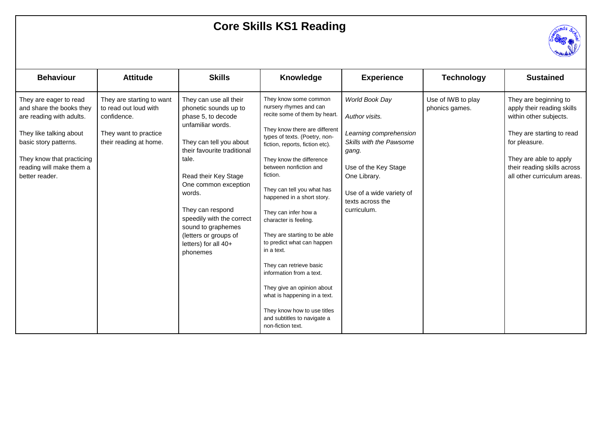## **Core Skills KS1 Reading**



| <b>Behaviour</b>                                                                                                                                                                                              | <b>Attitude</b>                                                                                                      | <b>Skills</b>                                                                                                                                                                                                                                                                                                                                               | Knowledge                                                                                                                                                                                                                                                                                                                                                                                                                                                                                                                                                                                                                                                | <b>Experience</b>                                                                                                                                                                                     | <b>Technology</b>                    | <b>Sustained</b>                                                                                                                                                                                                    |
|---------------------------------------------------------------------------------------------------------------------------------------------------------------------------------------------------------------|----------------------------------------------------------------------------------------------------------------------|-------------------------------------------------------------------------------------------------------------------------------------------------------------------------------------------------------------------------------------------------------------------------------------------------------------------------------------------------------------|----------------------------------------------------------------------------------------------------------------------------------------------------------------------------------------------------------------------------------------------------------------------------------------------------------------------------------------------------------------------------------------------------------------------------------------------------------------------------------------------------------------------------------------------------------------------------------------------------------------------------------------------------------|-------------------------------------------------------------------------------------------------------------------------------------------------------------------------------------------------------|--------------------------------------|---------------------------------------------------------------------------------------------------------------------------------------------------------------------------------------------------------------------|
| They are eager to read<br>and share the books they<br>are reading with adults.<br>They like talking about<br>basic story patterns.<br>They know that practicing<br>reading will make them a<br>better reader. | They are starting to want<br>to read out loud with<br>confidence.<br>They want to practice<br>their reading at home. | They can use all their<br>phonetic sounds up to<br>phase 5, to decode<br>unfamiliar words.<br>They can tell you about<br>their favourite traditional<br>tale.<br>Read their Key Stage<br>One common exception<br>words.<br>They can respond<br>speedily with the correct<br>sound to graphemes<br>(letters or groups of<br>letters) for all 40+<br>phonemes | They know some common<br>nursery rhymes and can<br>recite some of them by heart.<br>They know there are different<br>types of texts. (Poetry, non-<br>fiction, reports, fiction etc).<br>They know the difference<br>between nonfiction and<br>fiction.<br>They can tell you what has<br>happened in a short story.<br>They can infer how a<br>character is feeling.<br>They are starting to be able<br>to predict what can happen<br>in a text.<br>They can retrieve basic<br>information from a text.<br>They give an opinion about<br>what is happening in a text.<br>They know how to use titles<br>and subtitles to navigate a<br>non-fiction text. | World Book Day<br>Author visits.<br>Learning comprehension<br>Skills with the Pawsome<br>gang.<br>Use of the Key Stage<br>One Library.<br>Use of a wide variety of<br>texts across the<br>curriculum. | Use of IWB to play<br>phonics games. | They are beginning to<br>apply their reading skills<br>within other subjects.<br>They are starting to read<br>for pleasure.<br>They are able to apply<br>their reading skills across<br>all other curriculum areas. |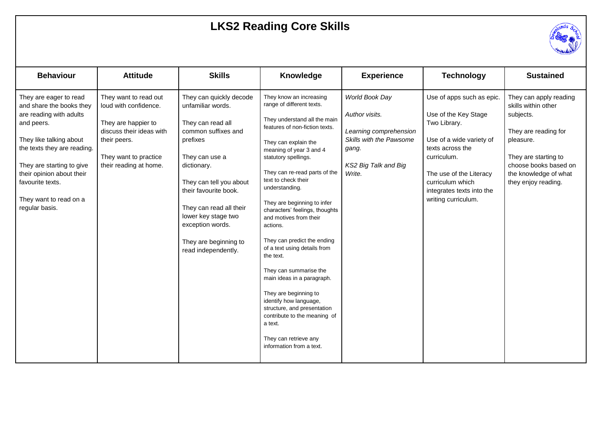## **LKS2 Reading Core Skills**



| <b>Behaviour</b>                                                                                                                                                                                                                                                                | <b>Attitude</b>                                                                                                                                                      | <b>Skills</b>                                                                                                                                                                                                                                                                                                   | Knowledge                                                                                                                                                                                                                                                                                                                                                                                                                                                                                                                                                                                                                                                                                                | <b>Experience</b>                                                                                                                | <b>Technology</b>                                                                                                                                                                                                                   | <b>Sustained</b>                                                                                                                                                                                 |
|---------------------------------------------------------------------------------------------------------------------------------------------------------------------------------------------------------------------------------------------------------------------------------|----------------------------------------------------------------------------------------------------------------------------------------------------------------------|-----------------------------------------------------------------------------------------------------------------------------------------------------------------------------------------------------------------------------------------------------------------------------------------------------------------|----------------------------------------------------------------------------------------------------------------------------------------------------------------------------------------------------------------------------------------------------------------------------------------------------------------------------------------------------------------------------------------------------------------------------------------------------------------------------------------------------------------------------------------------------------------------------------------------------------------------------------------------------------------------------------------------------------|----------------------------------------------------------------------------------------------------------------------------------|-------------------------------------------------------------------------------------------------------------------------------------------------------------------------------------------------------------------------------------|--------------------------------------------------------------------------------------------------------------------------------------------------------------------------------------------------|
| They are eager to read<br>and share the books they<br>are reading with adults<br>and peers.<br>They like talking about<br>the texts they are reading.<br>They are starting to give<br>their opinion about their<br>favourite texts.<br>They want to read on a<br>regular basis. | They want to read out<br>loud with confidence.<br>They are happier to<br>discuss their ideas with<br>their peers.<br>They want to practice<br>their reading at home. | They can quickly decode<br>unfamiliar words.<br>They can read all<br>common suffixes and<br>prefixes<br>They can use a<br>dictionary.<br>They can tell you about<br>their favourite book.<br>They can read all their<br>lower key stage two<br>exception words.<br>They are beginning to<br>read independently. | They know an increasing<br>range of different texts.<br>They understand all the main<br>features of non-fiction texts.<br>They can explain the<br>meaning of year 3 and 4<br>statutory spellings.<br>They can re-read parts of the<br>text to check their<br>understanding.<br>They are beginning to infer<br>characters' feelings, thoughts<br>and motives from their<br>actions.<br>They can predict the ending<br>of a text using details from<br>the text.<br>They can summarise the<br>main ideas in a paragraph.<br>They are beginning to<br>identify how language,<br>structure, and presentation<br>contribute to the meaning of<br>a text.<br>They can retrieve any<br>information from a text. | World Book Day<br>Author visits.<br>Learning comprehension<br>Skills with the Pawsome<br>gang.<br>KS2 Big Talk and Big<br>Write. | Use of apps such as epic.<br>Use of the Key Stage<br>Two Library.<br>Use of a wide variety of<br>texts across the<br>curriculum.<br>The use of the Literacy<br>curriculum which<br>integrates texts into the<br>writing curriculum. | They can apply reading<br>skills within other<br>subjects.<br>They are reading for<br>pleasure.<br>They are starting to<br>choose books based on<br>the knowledge of what<br>they enjoy reading. |